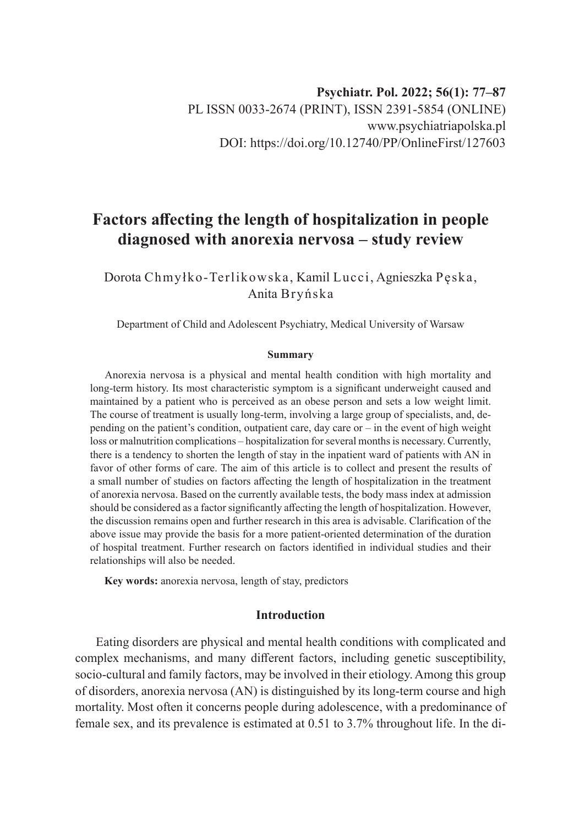# **Factors affecting the length of hospitalization in people diagnosed with anorexia nervosa – study review**

Dorota Chmyłko-Terlikowska, Kamil Lucci, Agnieszka Pęska, Anita Bryńska

Department of Child and Adolescent Psychiatry, Medical University of Warsaw

#### **Summary**

Anorexia nervosa is a physical and mental health condition with high mortality and long-term history. Its most characteristic symptom is a significant underweight caused and maintained by a patient who is perceived as an obese person and sets a low weight limit. The course of treatment is usually long-term, involving a large group of specialists, and, depending on the patient's condition, outpatient care, day care or  $-$  in the event of high weight loss or malnutrition complications – hospitalization for several months is necessary. Currently, there is a tendency to shorten the length of stay in the inpatient ward of patients with AN in favor of other forms of care. The aim of this article is to collect and present the results of a small number of studies on factors affecting the length of hospitalization in the treatment of anorexia nervosa. Based on the currently available tests, the body mass index at admission should be considered as a factor significantly affecting the length of hospitalization. However, the discussion remains open and further research in this area is advisable. Clarification of the above issue may provide the basis for a more patient-oriented determination of the duration of hospital treatment. Further research on factors identified in individual studies and their relationships will also be needed.

**Key words:** anorexia nervosa, length of stay, predictors

### **Introduction**

Eating disorders are physical and mental health conditions with complicated and complex mechanisms, and many different factors, including genetic susceptibility, socio-cultural and family factors, may be involved in their etiology. Among this group of disorders, anorexia nervosa (AN) is distinguished by its long-term course and high mortality. Most often it concerns people during adolescence, with a predominance of female sex, and its prevalence is estimated at 0.51 to 3.7% throughout life. In the di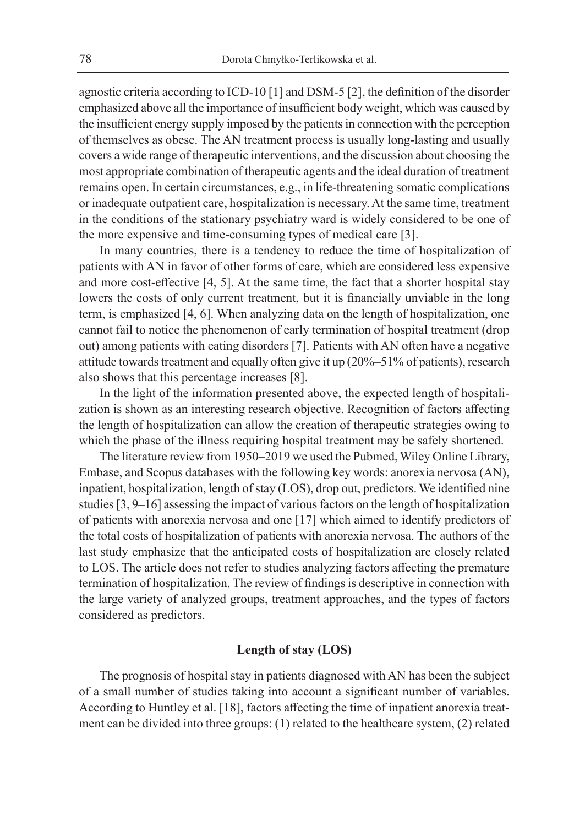agnostic criteria according to ICD-10 [1] and DSM-5 [2], the definition of the disorder emphasized above all the importance of insufficient body weight, which was caused by the insufficient energy supply imposed by the patients in connection with the perception of themselves as obese. The AN treatment process is usually long-lasting and usually covers a wide range of therapeutic interventions, and the discussion about choosing the most appropriate combination of therapeutic agents and the ideal duration of treatment remains open. In certain circumstances, e.g., in life-threatening somatic complications or inadequate outpatient care, hospitalization is necessary. At the same time, treatment in the conditions of the stationary psychiatry ward is widely considered to be one of the more expensive and time-consuming types of medical care [3].

In many countries, there is a tendency to reduce the time of hospitalization of patients with AN in favor of other forms of care, which are considered less expensive and more cost-effective [4, 5]. At the same time, the fact that a shorter hospital stay lowers the costs of only current treatment, but it is financially unviable in the long term, is emphasized [4, 6]. When analyzing data on the length of hospitalization, one cannot fail to notice the phenomenon of early termination of hospital treatment (drop out) among patients with eating disorders [7]. Patients with AN often have a negative attitude towards treatment and equally often give it up (20%–51% of patients), research also shows that this percentage increases [8].

In the light of the information presented above, the expected length of hospitalization is shown as an interesting research objective. Recognition of factors affecting the length of hospitalization can allow the creation of therapeutic strategies owing to which the phase of the illness requiring hospital treatment may be safely shortened.

The literature review from 1950–2019 we used the Pubmed, Wiley Online Library, Embase, and Scopus databases with the following key words: anorexia nervosa (AN), inpatient, hospitalization, length of stay (LOS), drop out, predictors. We identified nine studies [3, 9–16] assessing the impact of various factors on the length of hospitalization of patients with anorexia nervosa and one [17] which aimed to identify predictors of the total costs of hospitalization of patients with anorexia nervosa. The authors of the last study emphasize that the anticipated costs of hospitalization are closely related to LOS. The article does not refer to studies analyzing factors affecting the premature termination of hospitalization. The review of findings is descriptive in connection with the large variety of analyzed groups, treatment approaches, and the types of factors considered as predictors.

## **Length of stay (LOS)**

The prognosis of hospital stay in patients diagnosed with AN has been the subject of a small number of studies taking into account a significant number of variables. According to Huntley et al. [18], factors affecting the time of inpatient anorexia treatment can be divided into three groups: (1) related to the healthcare system, (2) related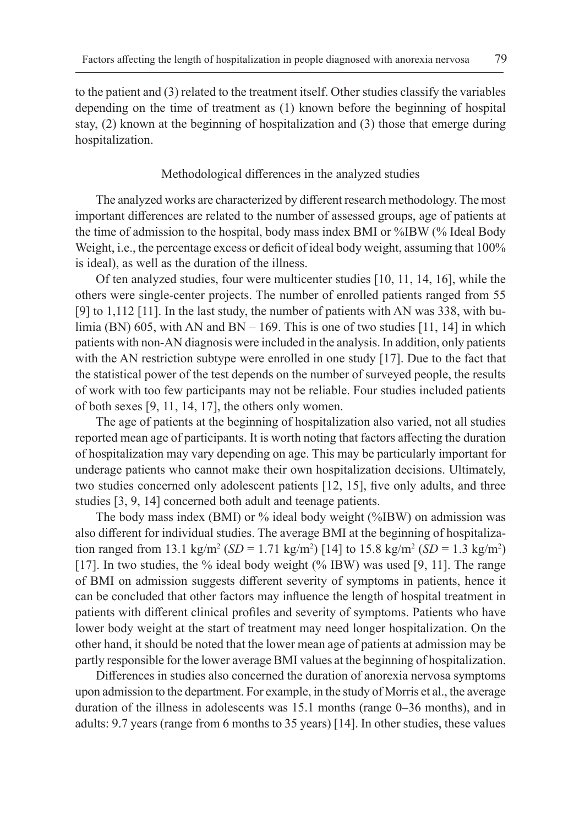to the patient and (3) related to the treatment itself. Other studies classify the variables depending on the time of treatment as (1) known before the beginning of hospital stay, (2) known at the beginning of hospitalization and (3) those that emerge during hospitalization.

#### Methodological differences in the analyzed studies

The analyzed works are characterized by different research methodology. The most important differences are related to the number of assessed groups, age of patients at the time of admission to the hospital, body mass index BMI or %IBW (% Ideal Body Weight, i.e., the percentage excess or deficit of ideal body weight, assuming that 100% is ideal), as well as the duration of the illness.

Of ten analyzed studies, four were multicenter studies [10, 11, 14, 16], while the others were single-center projects. The number of enrolled patients ranged from 55 [9] to 1,112 [11]. In the last study, the number of patients with AN was 338, with bulimia (BN) 605, with AN and BN – 169. This is one of two studies [11, 14] in which patients with non-AN diagnosis were included in the analysis. In addition, only patients with the AN restriction subtype were enrolled in one study [17]. Due to the fact that the statistical power of the test depends on the number of surveyed people, the results of work with too few participants may not be reliable. Four studies included patients of both sexes [9, 11, 14, 17], the others only women.

The age of patients at the beginning of hospitalization also varied, not all studies reported mean age of participants. It is worth noting that factors affecting the duration of hospitalization may vary depending on age. This may be particularly important for underage patients who cannot make their own hospitalization decisions. Ultimately, two studies concerned only adolescent patients [12, 15], five only adults, and three studies [3, 9, 14] concerned both adult and teenage patients.

The body mass index (BMI) or % ideal body weight (%IBW) on admission was also different for individual studies. The average BMI at the beginning of hospitalization ranged from 13.1 kg/m<sup>2</sup> (*SD* = 1.71 kg/m<sup>2</sup>) [14] to 15.8 kg/m<sup>2</sup> (*SD* = 1.3 kg/m<sup>2</sup>) [17]. In two studies, the % ideal body weight (% IBW) was used [9, 11]. The range of BMI on admission suggests different severity of symptoms in patients, hence it can be concluded that other factors may influence the length of hospital treatment in patients with different clinical profiles and severity of symptoms. Patients who have lower body weight at the start of treatment may need longer hospitalization. On the other hand, it should be noted that the lower mean age of patients at admission may be partly responsible for the lower average BMI values at the beginning of hospitalization.

Differences in studies also concerned the duration of anorexia nervosa symptoms upon admission to the department. For example, in the study of Morris et al., the average duration of the illness in adolescents was 15.1 months (range 0–36 months), and in adults: 9.7 years (range from 6 months to 35 years) [14]. In other studies, these values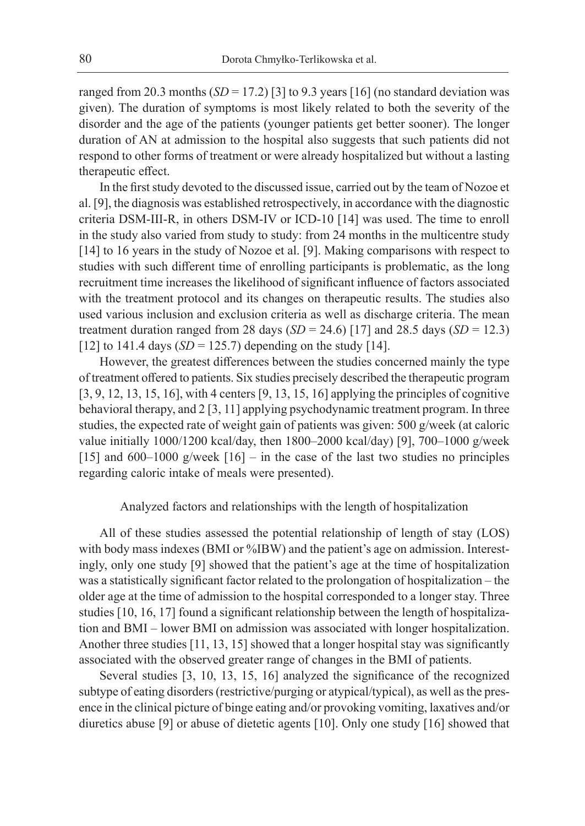ranged from 20.3 months  $(SD = 17.2)$  [3] to 9.3 years [16] (no standard deviation was given). The duration of symptoms is most likely related to both the severity of the disorder and the age of the patients (younger patients get better sooner). The longer duration of AN at admission to the hospital also suggests that such patients did not respond to other forms of treatment or were already hospitalized but without a lasting therapeutic effect.

In the first study devoted to the discussed issue, carried out by the team of Nozoe et al. [9], the diagnosis was established retrospectively, in accordance with the diagnostic criteria DSM-III-R, in others DSM-IV or ICD-10 [14] was used. The time to enroll in the study also varied from study to study: from 24 months in the multicentre study [14] to 16 years in the study of Nozoe et al. [9]. Making comparisons with respect to studies with such different time of enrolling participants is problematic, as the long recruitment time increases the likelihood of significant influence of factors associated with the treatment protocol and its changes on therapeutic results. The studies also used various inclusion and exclusion criteria as well as discharge criteria. The mean treatment duration ranged from 28 days  $(SD = 24.6)$  [17] and 28.5 days  $(SD = 12.3)$ [12] to 141.4 days  $(SD = 125.7)$  depending on the study [14].

However, the greatest differences between the studies concerned mainly the type of treatment offered to patients. Six studies precisely described the therapeutic program [3, 9, 12, 13, 15, 16], with 4 centers [9, 13, 15, 16] applying the principles of cognitive behavioral therapy, and 2 [3, 11] applying psychodynamic treatment program. In three studies, the expected rate of weight gain of patients was given: 500 g/week (at caloric value initially 1000/1200 kcal/day, then 1800–2000 kcal/day) [9], 700–1000 g/week [15] and 600–1000 g/week  $[16]$  – in the case of the last two studies no principles regarding caloric intake of meals were presented).

#### Analyzed factors and relationships with the length of hospitalization

All of these studies assessed the potential relationship of length of stay (LOS) with body mass indexes (BMI or %IBW) and the patient's age on admission. Interestingly, only one study [9] showed that the patient's age at the time of hospitalization was a statistically significant factor related to the prolongation of hospitalization – the older age at the time of admission to the hospital corresponded to a longer stay. Three studies [10, 16, 17] found a significant relationship between the length of hospitalization and BMI – lower BMI on admission was associated with longer hospitalization. Another three studies [11, 13, 15] showed that a longer hospital stay was significantly associated with the observed greater range of changes in the BMI of patients.

Several studies [3, 10, 13, 15, 16] analyzed the significance of the recognized subtype of eating disorders (restrictive/purging or atypical/typical), as well as the presence in the clinical picture of binge eating and/or provoking vomiting, laxatives and/or diuretics abuse [9] or abuse of dietetic agents [10]. Only one study [16] showed that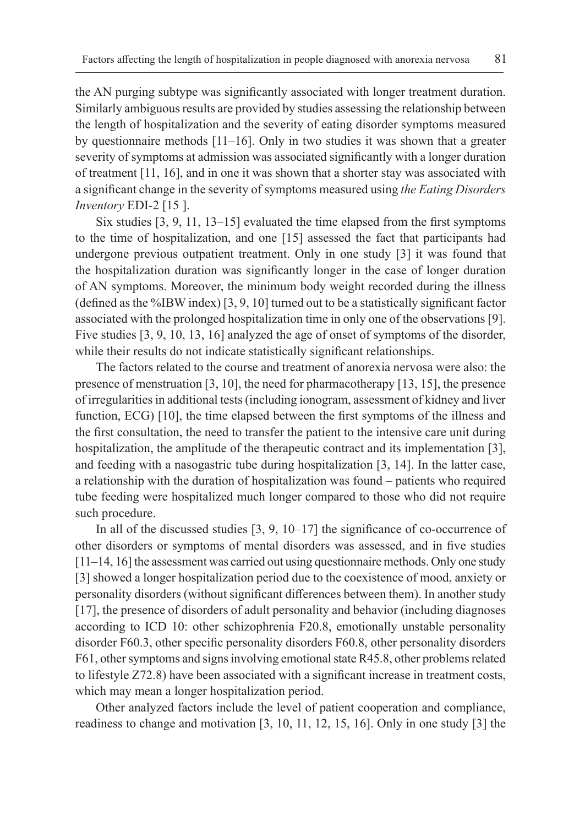the AN purging subtype was significantly associated with longer treatment duration. Similarly ambiguous results are provided by studies assessing the relationship between the length of hospitalization and the severity of eating disorder symptoms measured by questionnaire methods [11–16]. Only in two studies it was shown that a greater severity of symptoms at admission was associated significantly with a longer duration of treatment [11, 16], and in one it was shown that a shorter stay was associated with a significant change in the severity of symptoms measured using *the Eating Disorders Inventory* EDI-2 [15 ].

Six studies [3, 9, 11, 13–15] evaluated the time elapsed from the first symptoms to the time of hospitalization, and one [15] assessed the fact that participants had undergone previous outpatient treatment. Only in one study [3] it was found that the hospitalization duration was significantly longer in the case of longer duration of AN symptoms. Moreover, the minimum body weight recorded during the illness (defined as the %IBW index) [3, 9, 10] turned out to be a statistically significant factor associated with the prolonged hospitalization time in only one of the observations [9]. Five studies [3, 9, 10, 13, 16] analyzed the age of onset of symptoms of the disorder, while their results do not indicate statistically significant relationships.

The factors related to the course and treatment of anorexia nervosa were also: the presence of menstruation [3, 10], the need for pharmacotherapy [13, 15], the presence of irregularities in additional tests (including ionogram, assessment of kidney and liver function, ECG) [10], the time elapsed between the first symptoms of the illness and the first consultation, the need to transfer the patient to the intensive care unit during hospitalization, the amplitude of the therapeutic contract and its implementation [3], and feeding with a nasogastric tube during hospitalization [3, 14]. In the latter case, a relationship with the duration of hospitalization was found – patients who required tube feeding were hospitalized much longer compared to those who did not require such procedure.

In all of the discussed studies [3, 9, 10–17] the significance of co-occurrence of other disorders or symptoms of mental disorders was assessed, and in five studies [11–14, 16] the assessment was carried out using questionnaire methods. Only one study [3] showed a longer hospitalization period due to the coexistence of mood, anxiety or personality disorders (without significant differences between them). In another study [17], the presence of disorders of adult personality and behavior (including diagnoses according to ICD 10: other schizophrenia F20.8, emotionally unstable personality disorder F60.3, other specific personality disorders F60.8, other personality disorders F61, other symptoms and signs involving emotional state R45.8, other problems related to lifestyle Z72.8) have been associated with a significant increase in treatment costs, which may mean a longer hospitalization period.

Other analyzed factors include the level of patient cooperation and compliance, readiness to change and motivation [3, 10, 11, 12, 15, 16]. Only in one study [3] the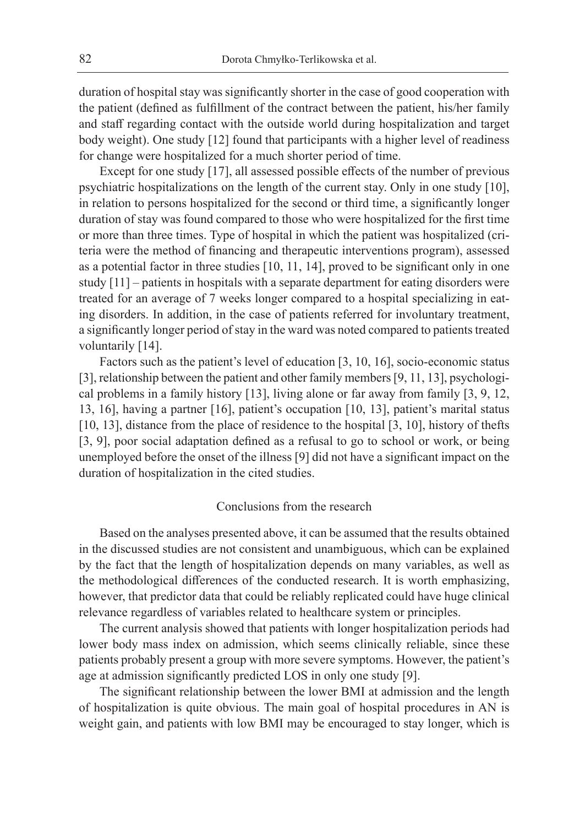duration of hospital stay was significantly shorter in the case of good cooperation with the patient (defined as fulfillment of the contract between the patient, his/her family and staff regarding contact with the outside world during hospitalization and target body weight). One study [12] found that participants with a higher level of readiness for change were hospitalized for a much shorter period of time.

Except for one study [17], all assessed possible effects of the number of previous psychiatric hospitalizations on the length of the current stay. Only in one study [10], in relation to persons hospitalized for the second or third time, a significantly longer duration of stay was found compared to those who were hospitalized for the first time or more than three times. Type of hospital in which the patient was hospitalized (criteria were the method of financing and therapeutic interventions program), assessed as a potential factor in three studies [10, 11, 14], proved to be significant only in one study [11] – patients in hospitals with a separate department for eating disorders were treated for an average of 7 weeks longer compared to a hospital specializing in eating disorders. In addition, in the case of patients referred for involuntary treatment, a significantly longer period of stay in the ward was noted compared to patients treated voluntarily [14].

Factors such as the patient's level of education [3, 10, 16], socio-economic status [3], relationship between the patient and other family members [9, 11, 13], psychological problems in a family history [13], living alone or far away from family [3, 9, 12, 13, 16], having a partner [16], patient's occupation [10, 13], patient's marital status [10, 13], distance from the place of residence to the hospital [3, 10], history of thefts [3, 9], poor social adaptation defined as a refusal to go to school or work, or being unemployed before the onset of the illness [9] did not have a significant impact on the duration of hospitalization in the cited studies.

#### Conclusions from the research

Based on the analyses presented above, it can be assumed that the results obtained in the discussed studies are not consistent and unambiguous, which can be explained by the fact that the length of hospitalization depends on many variables, as well as the methodological differences of the conducted research. It is worth emphasizing, however, that predictor data that could be reliably replicated could have huge clinical relevance regardless of variables related to healthcare system or principles.

The current analysis showed that patients with longer hospitalization periods had lower body mass index on admission, which seems clinically reliable, since these patients probably present a group with more severe symptoms. However, the patient's age at admission significantly predicted LOS in only one study [9].

The significant relationship between the lower BMI at admission and the length of hospitalization is quite obvious. The main goal of hospital procedures in AN is weight gain, and patients with low BMI may be encouraged to stay longer, which is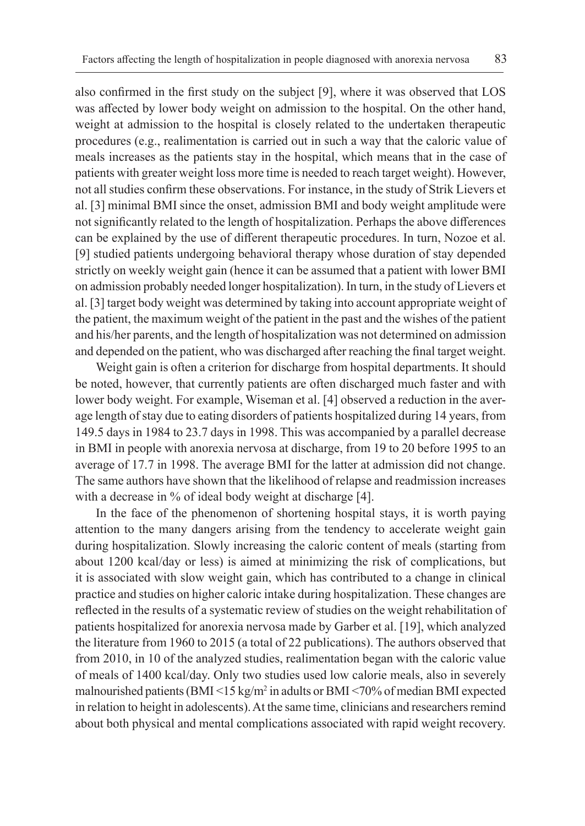also confirmed in the first study on the subject [9], where it was observed that LOS was affected by lower body weight on admission to the hospital. On the other hand, weight at admission to the hospital is closely related to the undertaken therapeutic procedures (e.g., realimentation is carried out in such a way that the caloric value of meals increases as the patients stay in the hospital, which means that in the case of patients with greater weight loss more time is needed to reach target weight). However, not all studies confirm these observations. For instance, in the study of Strik Lievers et al. [3] minimal BMI since the onset, admission BMI and body weight amplitude were not significantly related to the length of hospitalization. Perhaps the above differences can be explained by the use of different therapeutic procedures. In turn, Nozoe et al. [9] studied patients undergoing behavioral therapy whose duration of stay depended strictly on weekly weight gain (hence it can be assumed that a patient with lower BMI on admission probably needed longer hospitalization). In turn, in the study of Lievers et al. [3] target body weight was determined by taking into account appropriate weight of the patient, the maximum weight of the patient in the past and the wishes of the patient and his/her parents, and the length of hospitalization was not determined on admission and depended on the patient, who was discharged after reaching the final target weight.

Weight gain is often a criterion for discharge from hospital departments. It should be noted, however, that currently patients are often discharged much faster and with lower body weight. For example, Wiseman et al. [4] observed a reduction in the average length of stay due to eating disorders of patients hospitalized during 14 years, from 149.5 days in 1984 to 23.7 days in 1998. This was accompanied by a parallel decrease in BMI in people with anorexia nervosa at discharge, from 19 to 20 before 1995 to an average of 17.7 in 1998. The average BMI for the latter at admission did not change. The same authors have shown that the likelihood of relapse and readmission increases with a decrease in % of ideal body weight at discharge [4].

In the face of the phenomenon of shortening hospital stays, it is worth paying attention to the many dangers arising from the tendency to accelerate weight gain during hospitalization. Slowly increasing the caloric content of meals (starting from about 1200 kcal/day or less) is aimed at minimizing the risk of complications, but it is associated with slow weight gain, which has contributed to a change in clinical practice and studies on higher caloric intake during hospitalization. These changes are reflected in the results of a systematic review of studies on the weight rehabilitation of patients hospitalized for anorexia nervosa made by Garber et al. [19], which analyzed the literature from 1960 to 2015 (a total of 22 publications). The authors observed that from 2010, in 10 of the analyzed studies, realimentation began with the caloric value of meals of 1400 kcal/day. Only two studies used low calorie meals, also in severely malnourished patients (BMI <15 kg/m<sup>2</sup> in adults or BMI <70% of median BMI expected in relation to height in adolescents). At the same time, clinicians and researchers remind about both physical and mental complications associated with rapid weight recovery.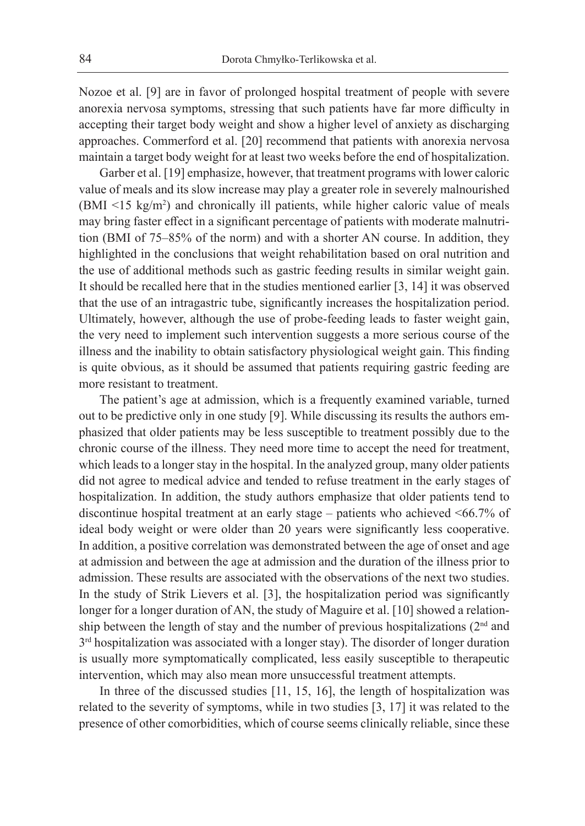Nozoe et al. [9] are in favor of prolonged hospital treatment of people with severe anorexia nervosa symptoms, stressing that such patients have far more difficulty in accepting their target body weight and show a higher level of anxiety as discharging approaches. Commerford et al. [20] recommend that patients with anorexia nervosa maintain a target body weight for at least two weeks before the end of hospitalization.

Garber et al. [19] emphasize, however, that treatment programs with lower caloric value of meals and its slow increase may play a greater role in severely malnourished  $(BMI \leq 15 \text{ kg/m}^2)$  and chronically ill patients, while higher caloric value of meals may bring faster effect in a significant percentage of patients with moderate malnutrition (BMI of 75–85% of the norm) and with a shorter AN course. In addition, they highlighted in the conclusions that weight rehabilitation based on oral nutrition and the use of additional methods such as gastric feeding results in similar weight gain. It should be recalled here that in the studies mentioned earlier [3, 14] it was observed that the use of an intragastric tube, significantly increases the hospitalization period. Ultimately, however, although the use of probe-feeding leads to faster weight gain, the very need to implement such intervention suggests a more serious course of the illness and the inability to obtain satisfactory physiological weight gain. This finding is quite obvious, as it should be assumed that patients requiring gastric feeding are more resistant to treatment.

The patient's age at admission, which is a frequently examined variable, turned out to be predictive only in one study [9]. While discussing its results the authors emphasized that older patients may be less susceptible to treatment possibly due to the chronic course of the illness. They need more time to accept the need for treatment, which leads to a longer stay in the hospital. In the analyzed group, many older patients did not agree to medical advice and tended to refuse treatment in the early stages of hospitalization. In addition, the study authors emphasize that older patients tend to discontinue hospital treatment at an early stage – patients who achieved <66.7% of ideal body weight or were older than 20 years were significantly less cooperative. In addition, a positive correlation was demonstrated between the age of onset and age at admission and between the age at admission and the duration of the illness prior to admission. These results are associated with the observations of the next two studies. In the study of Strik Lievers et al. [3], the hospitalization period was significantly longer for a longer duration of AN, the study of Maguire et al. [10] showed a relationship between the length of stay and the number of previous hospitalizations  $(2<sup>nd</sup>$  and 3<sup>rd</sup> hospitalization was associated with a longer stay). The disorder of longer duration is usually more symptomatically complicated, less easily susceptible to therapeutic intervention, which may also mean more unsuccessful treatment attempts.

In three of the discussed studies [11, 15, 16], the length of hospitalization was related to the severity of symptoms, while in two studies [3, 17] it was related to the presence of other comorbidities, which of course seems clinically reliable, since these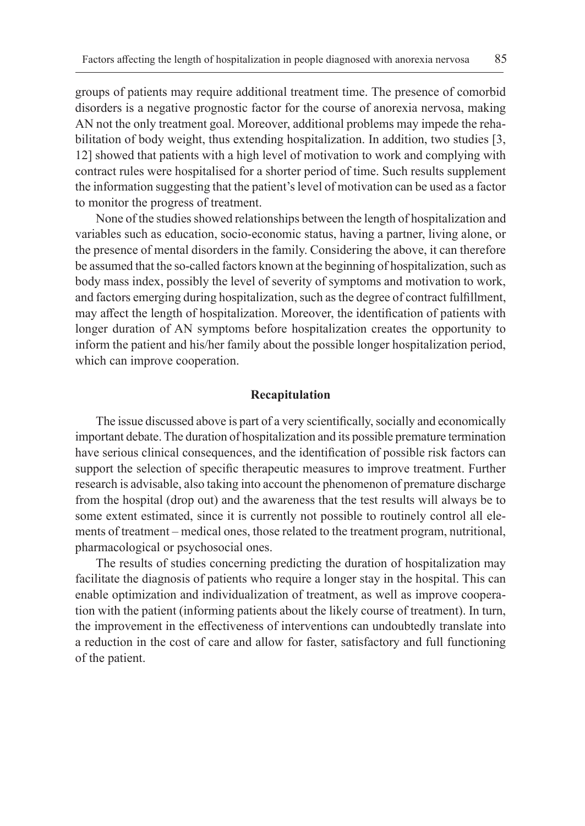groups of patients may require additional treatment time. The presence of comorbid disorders is a negative prognostic factor for the course of anorexia nervosa, making AN not the only treatment goal. Moreover, additional problems may impede the rehabilitation of body weight, thus extending hospitalization. In addition, two studies [3, 12] showed that patients with a high level of motivation to work and complying with contract rules were hospitalised for a shorter period of time. Such results supplement the information suggesting that the patient's level of motivation can be used as a factor to monitor the progress of treatment.

None of the studies showed relationships between the length of hospitalization and variables such as education, socio-economic status, having a partner, living alone, or the presence of mental disorders in the family. Considering the above, it can therefore be assumed that the so-called factors known at the beginning of hospitalization, such as body mass index, possibly the level of severity of symptoms and motivation to work, and factors emerging during hospitalization, such as the degree of contract fulfillment, may affect the length of hospitalization. Moreover, the identification of patients with longer duration of AN symptoms before hospitalization creates the opportunity to inform the patient and his/her family about the possible longer hospitalization period, which can improve cooperation.

#### **Recapitulation**

The issue discussed above is part of a very scientifically, socially and economically important debate. The duration of hospitalization and its possible premature termination have serious clinical consequences, and the identification of possible risk factors can support the selection of specific therapeutic measures to improve treatment. Further research is advisable, also taking into account the phenomenon of premature discharge from the hospital (drop out) and the awareness that the test results will always be to some extent estimated, since it is currently not possible to routinely control all elements of treatment – medical ones, those related to the treatment program, nutritional, pharmacological or psychosocial ones.

The results of studies concerning predicting the duration of hospitalization may facilitate the diagnosis of patients who require a longer stay in the hospital. This can enable optimization and individualization of treatment, as well as improve cooperation with the patient (informing patients about the likely course of treatment). In turn, the improvement in the effectiveness of interventions can undoubtedly translate into a reduction in the cost of care and allow for faster, satisfactory and full functioning of the patient.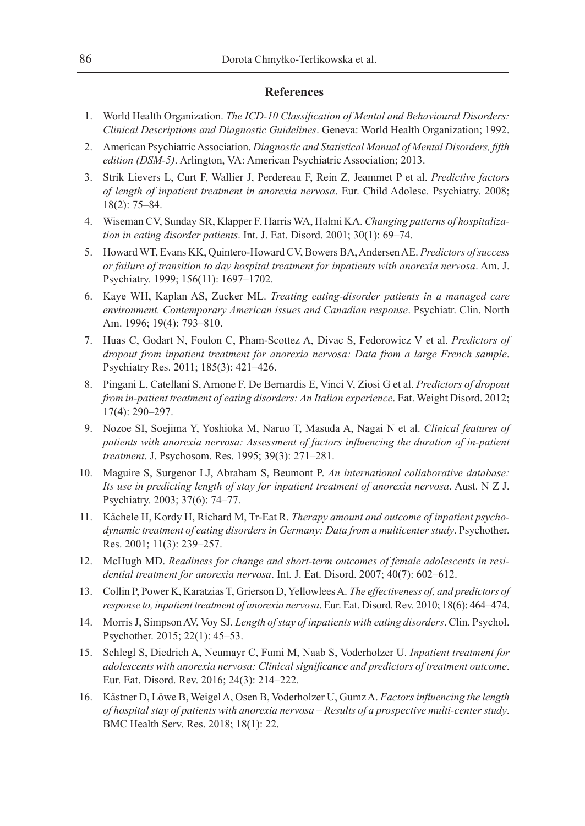#### **References**

- 1. World Health Organization. *The ICD-10 Classification of Mental and Behavioural Disorders: Clinical Descriptions and Diagnostic Guidelines*. Geneva: World Health Organization; 1992.
- 2. American Psychiatric Association. *Diagnostic and Statistical Manual of Mental Disorders, fifth edition (DSM-5)*. Arlington, VA: American Psychiatric Association; 2013.
- 3. Strik Lievers L, Curt F, Wallier J, Perdereau F, Rein Z, Jeammet P et al. *Predictive factors of length of inpatient treatment in anorexia nervosa*. Eur. Child Adolesc. Psychiatry. 2008; 18(2): 75–84.
- 4. Wiseman CV, Sunday SR, Klapper F, Harris WA, Halmi KA. *Changing patterns of hospitalization in eating disorder patients*. Int. J. Eat. Disord. 2001; 30(1): 69–74.
- 5. Howard WT, Evans KK, Quintero-Howard CV, Bowers BA, Andersen AE. *Predictors of success or failure of transition to day hospital treatment for inpatients with anorexia nervosa*. Am. J. Psychiatry. 1999; 156(11): 1697–1702.
- 6. Kaye WH, Kaplan AS, Zucker ML. *Treating eating-disorder patients in a managed care environment. Contemporary American issues and Canadian response*. Psychiatr. Clin. North Am. 1996; 19(4): 793–810.
- 7. Huas C, Godart N, Foulon C, Pham-Scottez A, Divac S, Fedorowicz V et al. *Predictors of dropout from inpatient treatment for anorexia nervosa: Data from a large French sample*. Psychiatry Res. 2011; 185(3): 421–426.
- 8. Pingani L, Catellani S, Arnone F, De Bernardis E, Vinci V, Ziosi G et al. *Predictors of dropout from in-patient treatment of eating disorders: An Italian experience*. Eat. Weight Disord. 2012; 17(4): 290–297.
- 9. Nozoe SI, Soejima Y, Yoshioka M, Naruo T, Masuda A, Nagai N et al. *Clinical features of patients with anorexia nervosa: Assessment of factors influencing the duration of in-patient treatment*. J. Psychosom. Res. 1995; 39(3): 271–281.
- 10. Maguire S, Surgenor LJ, Abraham S, Beumont P. *An international collaborative database: Its use in predicting length of stay for inpatient treatment of anorexia nervosa*. Aust. N Z J. Psychiatry. 2003; 37(6): 74–77.
- 11. Kächele H, Kordy H, Richard M, Tr-Eat R. *Therapy amount and outcome of inpatient psychodynamic treatment of eating disorders in Germany: Data from a multicenter study*. Psychother. Res. 2001; 11(3): 239–257.
- 12. McHugh MD. *Readiness for change and short-term outcomes of female adolescents in residential treatment for anorexia nervosa*. Int. J. Eat. Disord. 2007; 40(7): 602–612.
- 13. Collin P, Power K, Karatzias T, Grierson D, Yellowlees A. *The effectiveness of, and predictors of response to, inpatient treatment of anorexia nervosa*. Eur. Eat. Disord. Rev. 2010; 18(6): 464–474.
- 14. Morris J, Simpson AV, Voy SJ. *Length of stay of inpatients with eating disorders*. Clin. Psychol. Psychother. 2015; 22(1): 45–53.
- 15. Schlegl S, Diedrich A, Neumayr C, Fumi M, Naab S, Voderholzer U. *Inpatient treatment for adolescents with anorexia nervosa: Clinical significance and predictors of treatment outcome*. Eur. Eat. Disord. Rev. 2016; 24(3): 214–222.
- 16. Kästner D, Löwe B, Weigel A, Osen B, Voderholzer U, Gumz A. *Factors influencing the length of hospital stay of patients with anorexia nervosa – Results of a prospective multi-center study*. BMC Health Serv. Res. 2018; 18(1): 22.